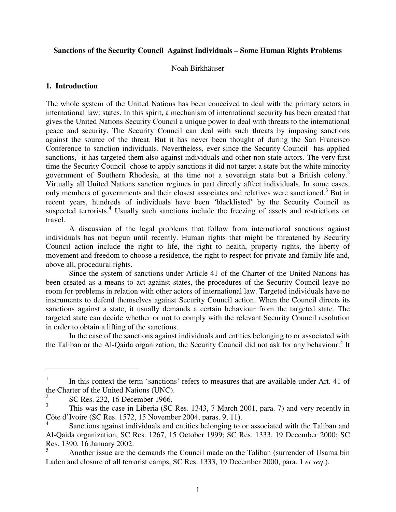### **Sanctions of the Security Council Against Individuals – Some Human Rights Problems**

Noah Birkhäuser

## **1. Introduction**

The whole system of the United Nations has been conceived to deal with the primary actors in international law: states. In this spirit, a mechanism of international security has been created that gives the United Nations Security Council a unique power to deal with threats to the international peace and security. The Security Council can deal with such threats by imposing sanctions against the source of the threat. But it has never been thought of during the San Francisco Conference to sanction individuals. Nevertheless, ever since the Security Council has applied sanctions,<sup>1</sup> it has targeted them also against individuals and other non-state actors. The very first time the Security Council chose to apply sanctions it did not target a state but the white minority government of Southern Rhodesia, at the time not a sovereign state but a British colony. 2 Virtually all United Nations sanction regimes in part directly affect individuals. In some cases, only members of governments and their closest associates and relatives were sanctioned.<sup>3</sup> But in recent years, hundreds of individuals have been 'blacklisted' by the Security Council as suspected terrorists.<sup>4</sup> Usually such sanctions include the freezing of assets and restrictions on travel.

A discussion of the legal problems that follow from international sanctions against individuals has not begun until recently. Human rights that might be threatened by Security Council action include the right to life, the right to health, property rights, the liberty of movement and freedom to choose a residence, the right to respect for private and family life and, above all, procedural rights.

Since the system of sanctions under Article 41 of the Charter of the United Nations has been created as a means to act against states, the procedures of the Security Council leave no room for problems in relation with other actors of international law. Targeted individuals have no instruments to defend themselves against Security Council action. When the Council directs its sanctions against a state, it usually demands a certain behaviour from the targeted state. The targeted state can decide whether or not to comply with the relevant Security Council resolution in order to obtain a lifting of the sanctions.

In the case of the sanctions against individuals and entities belonging to or associated with the Taliban or the Al-Qaida organization, the Security Council did not ask for any behaviour.<sup>5</sup> It

<sup>1</sup> In this context the term 'sanctions' refers to measures that are available under Art. 41 of the Charter of the United Nations (UNC).

<sup>2</sup> SC Res. 232, 16 December 1966.

<sup>3</sup> This was the case in Liberia (SC Res. 1343, 7 March 2001, para. 7) and very recently in Côte d'Ivoire (SC Res. 1572, 15 November 2004, paras. 9, 11).

<sup>4</sup> Sanctions against individuals and entities belonging to or associated with the Taliban and Al-Qaida organization, SC Res. 1267, 15 October 1999; SC Res. 1333, 19 December 2000; SC Res. 1390, 16 January 2002.

<sup>5</sup> Another issue are the demands the Council made on the Taliban (surrender of Usama bin Laden and closure of all terrorist camps, SC Res. 1333, 19 December 2000, para. 1 *et seq*.).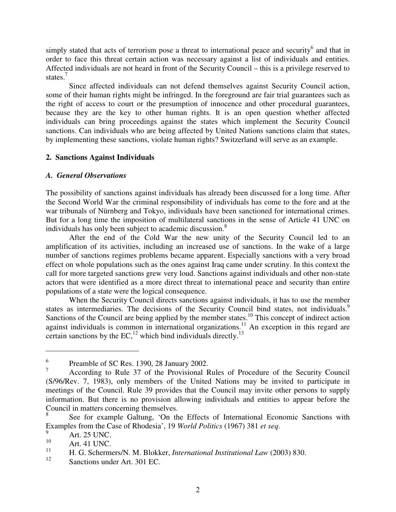simply stated that acts of terrorism pose a threat to international peace and security<sup>6</sup> and that in order to face this threat certain action was necessary against a list of individuals and entities. Affected individuals are not heard in front of the Security Council – this is a privilege reserved to states.<sup>7</sup>

Since affected individuals can not defend themselves against Security Council action, some of their human rights might be infringed. In the foreground are fair trial guarantees such as the right of access to court or the presumption of innocence and other procedural guarantees, because they are the key to other human rights. It is an open question whether affected individuals can bring proceedings against the states which implement the Security Council sanctions. Can individuals who are being affected by United Nations sanctions claim that states, by implementing these sanctions, violate human rights? Switzerland will serve as an example.

### **2. Sanctions Against Individuals**

### *A. General Observations*

The possibility of sanctions against individuals has already been discussed for a long time. After the Second World War the criminal responsibility of individuals has come to the fore and at the war tribunals of Nürnberg and Tokyo, individuals have been sanctioned for international crimes. But for a long time the imposition of multilateral sanctions in the sense of Article 41 UNC on individuals has only been subject to academic discussion.<sup>8</sup>

After the end of the Cold War the new unity of the Security Council led to an amplification of its activities, including an increased use of sanctions. In the wake of a large number of sanctions regimes problems became apparent. Especially sanctions with a very broad effect on whole populations such as the ones against Iraq came under scrutiny. In this context the call for more targeted sanctions grew very loud. Sanctions against individuals and other non-state actors that were identified as a more direct threat to international peace and security than entire populations of a state were the logical consequence.

When the Security Council directs sanctions against individuals, it has to use the member states as intermediaries. The decisions of the Security Council bind states, not individuals.<sup>9</sup> Sanctions of the Council are being applied by the member states.<sup>10</sup> This concept of indirect action against individuals is common in international organizations.<sup>11</sup> An exception in this regard are certain sanctions by the EC,<sup>12</sup> which bind individuals directly.<sup>13</sup>

<sup>6</sup> Preamble of SC Res. 1390, 28 January 2002.

<sup>7</sup> According to Rule 37 of the Provisional Rules of Procedure of the Security Council (S/96/Rev. 7, 1983), only members of the United Nations may be invited to participate in meetings of the Council. Rule 39 provides that the Council may invite other persons to supply information. But there is no provision allowing individuals and entities to appear before the Council in matters concerning themselves.

<sup>8</sup> See for example Galtung, 'On the Effects of International Economic Sanctions with Examples from the Case of Rhodesia', 19 *World Politics* (1967) 381 *et seq*.

 $^{9}$  Art. 25 UNC.

 $10$  Art. 41 UNC.

<sup>11</sup> H. G. Schermers/N. M. Blokker, *International Institutional Law* (2003) 830.

<sup>12</sup> Sanctions under Art. 301 EC.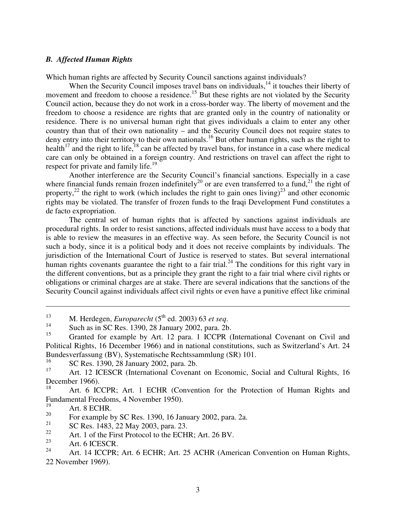#### *B. Affected Human Rights*

Which human rights are affected by Security Council sanctions against individuals?

When the Security Council imposes travel bans on individuals,<sup>14</sup> it touches their liberty of movement and freedom to choose a residence.<sup>15</sup> But these rights are not violated by the Security Council action, because they do not work in a cross-border way. The liberty of movement and the freedom to choose a residence are rights that are granted only in the country of nationality or residence. There is no universal human right that gives individuals a claim to enter any other country than that of their own nationality – and the Security Council does not require states to deny entry into their territory to their own nationals.<sup>16</sup> But other human rights, such as the right to health<sup>17</sup> and the right to life,  $^{18}$  can be affected by travel bans, for instance in a case where medical care can only be obtained in a foreign country. And restrictions on travel can affect the right to respect for private and family life.<sup>19</sup>

Another interference are the Security Council's financial sanctions. Especially in a case where financial funds remain frozen indefinitely<sup>20</sup> or are even transferred to a fund,<sup>21</sup> the right of property,<sup>22</sup> the right to work (which includes the right to gain ones living)<sup>23</sup> and other economic rights may be violated. The transfer of frozen funds to the Iraqi Development Fund constitutes a de facto expropriation.

The central set of human rights that is affected by sanctions against individuals are procedural rights. In order to resist sanctions, affected individuals must have access to a body that is able to review the measures in an effective way. As seen before, the Security Council is not such a body, since it is a political body and it does not receive complaints by individuals. The jurisdiction of the International Court of Justice is reserved to states. But several international human rights covenants guarantee the right to a fair trial.<sup>24</sup> The conditions for this right vary in the different conventions, but as a principle they grant the right to a fair trial where civil rights or obligations or criminal charges are at stake. There are several indications that the sanctions of the Security Council against individuals affect civil rights or even have a punitive effect like criminal

14 Such as in SC Res. 1390, 28 January 2002, para. 2b.

16 SC Res. 1390, 28 January 2002, para. 2b.

<sup>&</sup>lt;sup>13</sup> M. Herdegen, *Europarecht* (5<sup>th</sup> ed. 2003) 63 *et seq.* 

<sup>&</sup>lt;sup>15</sup> Granted for example by Art. 12 para. 1 ICCPR (International Covenant on Civil and Political Rights, 16 December 1966) and in national constitutions, such as Switzerland's Art. 24 Bundesverfassung (BV), Systematische Rechtssammlung (SR) 101.

<sup>&</sup>lt;sup>17</sup> Art. 12 ICESCR (International Covenant on Economic, Social and Cultural Rights, 16 December 1966).

Art. 6 ICCPR; Art. 1 ECHR (Convention for the Protection of Human Rights and Fundamental Freedoms, 4 November 1950).

Art. 8 ECHR.

<sup>20</sup> For example by SC Res. 1390, 16 January 2002, para. 2a.

<sup>21</sup> SC Res. 1483, 22 May 2003, para. 23.

<sup>&</sup>lt;sup>22</sup> Art. 1 of the First Protocol to the ECHR; Art. 26 BV.

<sup>&</sup>lt;sup>23</sup> Art. 6 ICESCR.

<sup>24</sup> Art. 14 ICCPR; Art. 6 ECHR; Art. 25 ACHR (American Convention on Human Rights, 22 November 1969).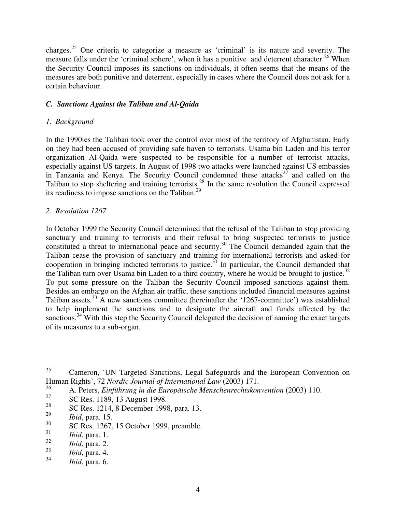charges. <sup>25</sup> One criteria to categorize a measure as 'criminal' is its nature and severity. The measure falls under the 'criminal sphere', when it has a punitive and deterrent character.<sup>26</sup> When the Security Council imposes its sanctions on individuals, it often seems that the means of the measures are both punitive and deterrent, especially in cases where the Council does not ask for a certain behaviour.

## *C. Sanctions Against the Taliban and Al-Qaida*

## *1. Background*

In the 1990ies the Taliban took over the control over most of the territory of Afghanistan. Early on they had been accused of providing safe haven to terrorists. Usama bin Laden and his terror organization Al-Qaida were suspected to be responsible for a number of terrorist attacks, especially against US targets. In August of 1998 two attacks were launched against US embassies in Tanzania and Kenya. The Security Council condemned these attacks<sup>27</sup> and called on the Taliban to stop sheltering and training terrorists.<sup>28</sup> In the same resolution the Council expressed its readiness to impose sanctions on the Taliban.<sup>29</sup>

# *2. Resolution 1267*

In October 1999 the Security Council determined that the refusal of the Taliban to stop providing sanctuary and training to terrorists and their refusal to bring suspected terrorists to justice constituted a threat to international peace and security.<sup>30</sup> The Council demanded again that the Taliban cease the provision of sanctuary and training for international terrorists and asked for cooperation in bringing indicted terrorists to justice.<sup>31</sup> In particular, the Council demanded that the Taliban turn over Usama bin Laden to a third country, where he would be brought to justice.<sup>32</sup> To put some pressure on the Taliban the Security Council imposed sanctions against them. Besides an embargo on the Afghan air traffic, these sanctions included financial measures against Taliban assets.<sup>33</sup> A new sanctions committee (hereinafter the '1267-committee') was established to help implement the sanctions and to designate the aircraft and funds affected by the sanctions.<sup>34</sup> With this step the Security Council delegated the decision of naming the exact targets of its measures to a sub-organ.

33 *Ibid*, para. 4.

<sup>&</sup>lt;sup>25</sup> Cameron, 'UN Targeted Sanctions, Legal Safeguards and the European Convention on Human Rights', 72 *Nordic Journal of International Law* (2003) 171.

<sup>26</sup> A. Peters, *Einführung in die Europäische Menschenrechtskonvention* (2003) 110.

<sup>27</sup> SC Res. 1189, 13 August 1998.

<sup>28</sup> SC Res. 1214, 8 December 1998, para. 13.

<sup>29</sup> *Ibid*, para. 15.

<sup>30</sup> SC Res. 1267, 15 October 1999, preamble.

<sup>31</sup> *Ibid*, para. 1.

<sup>32</sup> *Ibid*, para. 2.

<sup>34</sup> *Ibid*, para. 6.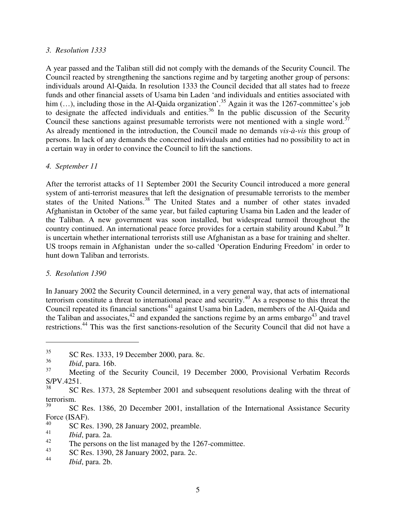### *3. Resolution 1333*

A year passed and the Taliban still did not comply with the demands of the Security Council. The Council reacted by strengthening the sanctions regime and by targeting another group of persons: individuals around Al-Qaida. In resolution 1333 the Council decided that all states had to freeze funds and other financial assets of Usama bin Laden 'and individuals and entities associated with him (...), including those in the Al-Qaida organization'.<sup>35</sup> Again it was the 1267-committee's job to designate the affected individuals and entities. 36 In the public discussion of the Security Council these sanctions against presumable terrorists were not mentioned with a single word.<sup>37</sup> As already mentioned in the introduction, the Council made no demands *vis-à-vis* this group of persons. In lack of any demands the concerned individuals and entities had no possibility to act in a certain way in order to convince the Council to lift the sanctions.

## *4. September 11*

After the terrorist attacks of 11 September 2001 the Security Council introduced a more general system of anti-terrorist measures that left the designation of presumable terrorists to the member states of the United Nations. 38 The United States and a number of other states invaded Afghanistan in October of the same year, but failed capturing Usama bin Laden and the leader of the Taliban. A new government was soon installed, but widespread turmoil throughout the country continued. An international peace force provides for a certain stability around Kabul.<sup>39</sup> It is uncertain whether international terrorists still use Afghanistan as a base for training and shelter. US troops remain in Afghanistan under the so-called 'Operation Enduring Freedom' in order to hunt down Taliban and terrorists.

## *5. Resolution 1390*

In January 2002 the Security Council determined, in a very general way, that acts of international terrorism constitute a threat to international peace and security. <sup>40</sup> As a response to this threat the Council repeated its financial sanctions<sup>41</sup> against Usama bin Laden, members of the Al-Qaida and the Taliban and associates,<sup>42</sup> and expanded the sanctions regime by an arms embargo<sup>43</sup> and travel restrictions.<sup>44</sup> This was the first sanctions-resolution of the Security Council that did not have a

<sup>35</sup> SC Res. 1333, 19 December 2000, para. 8c.

<sup>36</sup> *Ibid*, para. 16b.

<sup>&</sup>lt;sup>37</sup> Meeting of the Security Council, 19 December 2000, Provisional Verbatim Records S/PV.4251.

<sup>38</sup> SC Res. 1373, 28 September 2001 and subsequent resolutions dealing with the threat of terrorism.

<sup>39</sup> SC Res. 1386, 20 December 2001, installation of the International Assistance Security Force (ISAF).

<sup>40</sup> SC Res. 1390, 28 January 2002, preamble.

<sup>41</sup> *Ibid*, para. 2a.

<sup>42</sup> The persons on the list managed by the 1267-committee.

<sup>43</sup> SC Res. 1390, 28 January 2002, para. 2c.

<sup>44</sup> *Ibid*, para. 2b.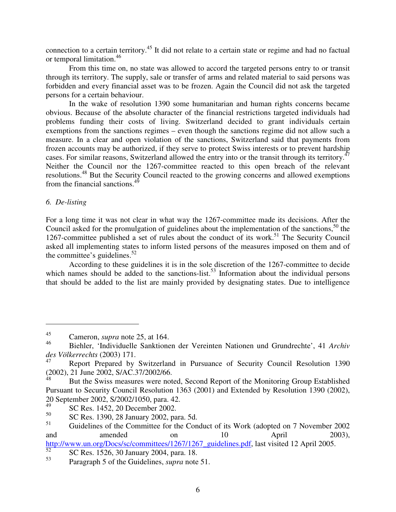connection to a certain territory.<sup>45</sup> It did not relate to a certain state or regime and had no factual or temporal limitation. 46

From this time on, no state was allowed to accord the targeted persons entry to or transit through its territory. The supply, sale or transfer of arms and related material to said persons was forbidden and every financial asset was to be frozen. Again the Council did not ask the targeted persons for a certain behaviour.

In the wake of resolution 1390 some humanitarian and human rights concerns became obvious. Because of the absolute character of the financial restrictions targeted individuals had problems funding their costs of living. Switzerland decided to grant individuals certain exemptions from the sanctions regimes – even though the sanctions regime did not allow such a measure. In a clear and open violation of the sanctions, Switzerland said that payments from frozen accounts may be authorized, if they serve to protect Swiss interests or to prevent hardship cases. For similar reasons, Switzerland allowed the entry into or the transit through its territory.<sup>47</sup> Neither the Council nor the 1267-committee reacted to this open breach of the relevant resolutions.<sup>48</sup> But the Security Council reacted to the growing concerns and allowed exemptions from the financial sanctions.<sup>49</sup>

# *6. De-listing*

For a long time it was not clear in what way the 1267-committee made its decisions. After the Council asked for the promulgation of guidelines about the implementation of the sanctions,<sup>50</sup> the 1267-committee published a set of rules about the conduct of its work.<sup>51</sup> The Security Council asked all implementing states to inform listed persons of the measures imposed on them and of the committee's guidelines.<sup>52</sup>

According to these guidelines it is in the sole discretion of the 1267-committee to decide which names should be added to the sanctions-list.<sup>53</sup> Information about the individual persons that should be added to the list are mainly provided by designating states. Due to intelligence

<sup>&</sup>lt;sup>45</sup> Cameron, *supra* note 25, at 164.

<sup>46</sup> Biehler, 'Individuelle Sanktionen der Vereinten Nationen und Grundrechte', 41 *Archiv des Völkerrechts* (2003) 171.

Report Prepared by Switzerland in Pursuance of Security Council Resolution 1390 (2002), 21 June 2002, S/AC.37/2002/66.

But the Swiss measures were noted, Second Report of the Monitoring Group Established Pursuant to Security Council Resolution 1363 (2001) and Extended by Resolution 1390 (2002), 20 September 2002, S/2002/1050, para. 42.

<sup>49</sup> SC Res. 1452, 20 December 2002.

<sup>50</sup> SC Res. 1390, 28 January 2002, para. 5d.

<sup>&</sup>lt;sup>51</sup> Guidelines of the Committee for the Conduct of its Work (adopted on 7 November 2002 and amended on 10 April 2003), http://www.un.org/Docs/sc/committees/1267/1267\_guidelines.pdf, last visited 12 April 2005.

<sup>52</sup> SC Res. 1526, 30 January 2004, para. 18.

<sup>53</sup> Paragraph 5 of the Guidelines, *supra* note 51.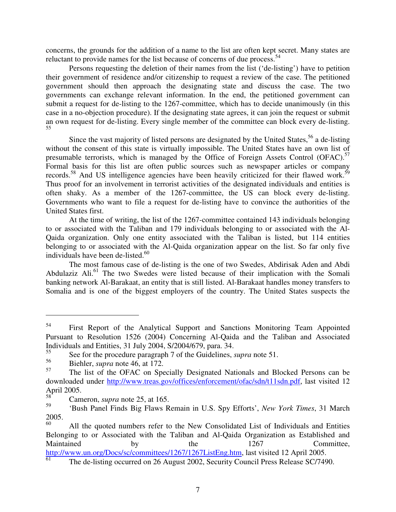concerns, the grounds for the addition of a name to the list are often kept secret. Many states are reluctant to provide names for the list because of concerns of due process.<sup>54</sup>

Persons requesting the deletion of their names from the list ('de-listing') have to petition their government of residence and/or citizenship to request a review of the case. The petitioned government should then approach the designating state and discuss the case. The two governments can exchange relevant information. In the end, the petitioned government can submit a request for de-listing to the 1267-committee, which has to decide unanimously (in this case in a no-objection procedure). If the designating state agrees, it can join the request or submit an own request for de-listing. Every single member of the committee can block every de-listing. 55

Since the vast majority of listed persons are designated by the United States,<sup>56</sup> a de-listing without the consent of this state is virtually impossible. The United States have an own list of presumable terrorists, which is managed by the Office of Foreign Assets Control (OFAC).<sup>57</sup> Formal basis for this list are often public sources such as newspaper articles or company records.<sup>58</sup> And US intelligence agencies have been heavily criticized for their flawed work.<sup>59</sup> Thus proof for an involvement in terrorist activities of the designated individuals and entities is often shaky. As a member of the 1267-committee, the US can block every de-listing. Governments who want to file a request for de-listing have to convince the authorities of the United States first.

At the time of writing, the list of the 1267-committee contained 143 individuals belonging to or associated with the Taliban and 179 individuals belonging to or associated with the Al-Qaida organization. Only one entity associated with the Taliban is listed, but 114 entities belonging to or associated with the Al-Qaida organization appear on the list. So far only five individuals have been de-listed. 60

The most famous case of de-listing is the one of two Swedes, Abdirisak Aden and Abdi Abdulaziz Ali.<sup>61</sup> The two Swedes were listed because of their implication with the Somali banking network Al-Barakaat, an entity that is still listed. Al-Barakaat handles money transfers to Somalia and is one of the biggest employers of the country. The United States suspects the

<sup>54</sup> First Report of the Analytical Support and Sanctions Monitoring Team Appointed Pursuant to Resolution 1526 (2004) Concerning Al-Qaida and the Taliban and Associated Individuals and Entities, 31 July 2004, S/2004/679, para. 34.

<sup>55</sup> See for the procedure paragraph 7 of the Guidelines, *supra* note 51.

<sup>56</sup> Biehler, *supra* note 46, at 172.

<sup>57</sup> The list of the OFAC on Specially Designated Nationals and Blocked Persons can be downloaded under http://www.treas.gov/offices/enforcement/ofac/sdn/t11sdn.pdf, last visited 12 April 2005.

Cameron, *supra* note 25, at 165.

<sup>59</sup> 'Bush Panel Finds Big Flaws Remain in U.S. Spy Efforts', *New York Times*, 31 March 2005.

All the quoted numbers refer to the New Consolidated List of Individuals and Entities Belonging to or Associated with the Taliban and Al-Qaida Organization as Established and Maintained by the 1267 Committee, http://www.un.org/Docs/sc/committees/1267/1267ListEng.htm, last visited 12 April 2005. 61

The de-listing occurred on 26 August 2002, Security Council Press Release SC/7490.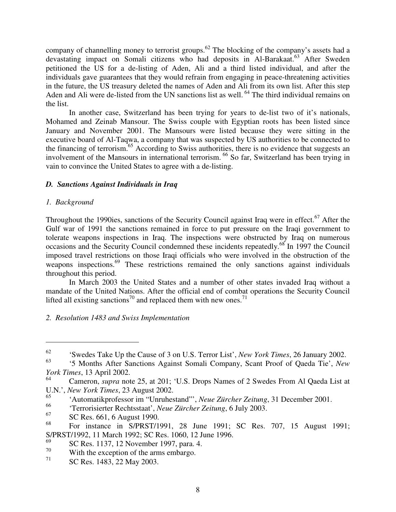company of channelling money to terrorist groups.<sup>62</sup> The blocking of the company's assets had a devastating impact on Somali citizens who had deposits in Al-Barakaat. <sup>63</sup> After Sweden petitioned the US for a de-listing of Aden, Ali and a third listed individual, and after the individuals gave guarantees that they would refrain from engaging in peace-threatening activities in the future, the US treasury deleted the names of Aden and Ali from its own list. After this step Aden and Ali were de-listed from the UN sanctions list as well. <sup>64</sup> The third individual remains on the list.

In another case, Switzerland has been trying for years to de-list two of it's nationals, Mohamed and Zeinab Mansour. The Swiss couple with Egyptian roots has been listed since January and November 2001. The Mansours were listed because they were sitting in the executive board of Al-Taqwa, a company that was suspected by US authorities to be connected to the financing of terrorism.<sup>65</sup> According to Swiss authorities, there is no evidence that suggests an involvement of the Mansours in international terrorism. 66 So far, Switzerland has been trying in vain to convince the United States to agree with a de-listing.

## *D. Sanctions Against Individuals in Iraq*

## *1. Background*

Throughout the 1990ies, sanctions of the Security Council against Iraq were in effect.<sup>67</sup> After the Gulf war of 1991 the sanctions remained in force to put pressure on the Iraqi government to tolerate weapons inspections in Iraq. The inspections were obstructed by Iraq on numerous occasions and the Security Council condemned these incidents repeatedly.<sup>68</sup> In 1997 the Council imposed travel restrictions on those Iraqi officials who were involved in the obstruction of the weapons inspections.<sup>69</sup> These restrictions remained the only sanctions against individuals throughout this period.

In March 2003 the United States and a number of other states invaded Iraq without a mandate of the United Nations. After the official end of combat operations the Security Council lifted all existing sanctions<sup>70</sup> and replaced them with new ones.<sup>71</sup>

# *2. Resolution 1483 and Swiss Implementation*

<sup>62</sup> 'Swedes Take Up the Cause of 3 on U.S. Terror List', *New York Times*, 26 January 2002.

<sup>63</sup> '5 Months After Sanctions Against Somali Company, Scant Proof of Qaeda Tie', *New York Times*, 13 April 2002.

<sup>64</sup> Cameron, *supra* note 25, at 201; 'U.S. Drops Names of 2 Swedes From Al Qaeda List at U.N.', *New York Times*, 23 August 2002.

<sup>65</sup> 'Automatikprofessor im "Unruhestand"', *Neue Zürcher Zeitung*, 31 December 2001.

<sup>66</sup> 'Terrorisierter Rechtsstaat', *Neue Zürcher Zeitung*, 6 July 2003.

<sup>67</sup> SC Res. 661, 6 August 1990.

<sup>68</sup> For instance in S/PRST/1991, 28 June 1991; SC Res. 707, 15 August 1991; S/PRST/1992, 11 March 1992; SC Res. 1060, 12 June 1996.

<sup>69</sup> SC Res. 1137, 12 November 1997, para. 4.

 $70$  With the exception of the arms embargo.

<sup>71</sup> SC Res. 1483, 22 May 2003.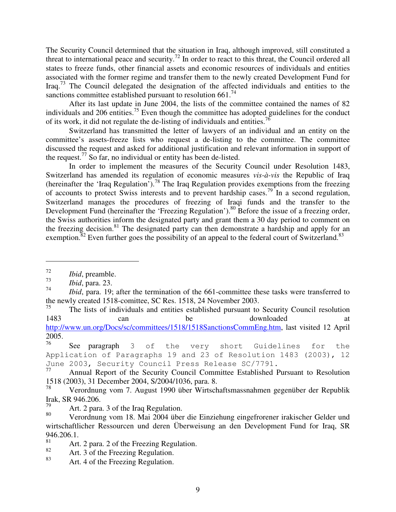The Security Council determined that the situation in Iraq, although improved, still constituted a threat to international peace and security.<sup>72</sup> In order to react to this threat, the Council ordered all states to freeze funds, other financial assets and economic resources of individuals and entities associated with the former regime and transfer them to the newly created Development Fund for Iraq.<sup>73</sup> The Council delegated the designation of the affected individuals and entities to the sanctions committee established pursuant to resolution 661.<sup>74</sup>

After its last update in June 2004, the lists of the committee contained the names of 82 individuals and 206 entities.<sup>75</sup> Even though the committee has adopted guidelines for the conduct of its work, it did not regulate the de-listing of individuals and entities.<sup>76</sup>

Switzerland has transmitted the letter of lawyers of an individual and an entity on the committee's assets-freeze lists who request a de-listing to the committee. The committee discussed the request and asked for additional justification and relevant information in support of the request.<sup>77</sup> So far, no individual or entity has been de-listed.

In order to implement the measures of the Security Council under Resolution 1483, Switzerland has amended its regulation of economic measures *vis-à-vis* the Republic of Iraq (hereinafter the 'Iraq Regulation').<sup>78</sup> The Iraq Regulation provides exemptions from the freezing of accounts to protect Swiss interests and to prevent hardship cases.<sup>79</sup> In a second regulation, Switzerland manages the procedures of freezing of Iraqi funds and the transfer to the Development Fund (hereinafter the 'Freezing Regulation').<sup>80</sup> Before the issue of a freezing order, the Swiss authorities inform the designated party and grant them a 30 day period to comment on the freezing decision.<sup>81</sup> The designated party can then demonstrate a hardship and apply for an exemption.<sup>82</sup> Even further goes the possibility of an appeal to the federal court of Switzerland.<sup>83</sup>

75 The lists of individuals and entities established pursuant to Security Council resolution 1483 can be downloaded http://www.un.org/Docs/sc/committees/1518/1518SanctionsCommEng.htm, last visited 12 April 2005.

76 See paragraph 3 of the very short Guidelines for the Application of Paragraphs 19 and 23 of Resolution 1483 (2003), 12 June 2003, Security Council Press Release SC/7791.<br>77 Annual Penort of the Security Council Committee Established E

<sup>72</sup> *Ibid*, preamble.

<sup>73</sup> *Ibid*, para. 23.

<sup>74</sup> *Ibid*, para. 19; after the termination of the 661-committee these tasks were transferred to the newly created 1518-comittee, SC Res. 1518, 24 November 2003.

Annual Report of the Security Council Committee Established Pursuant to Resolution 1518 (2003), 31 December 2004, S/2004/1036, para. 8.

Verordnung vom 7. August 1990 über Wirtschaftsmassnahmen gegenüber der Republik Irak, SR 946.206.

<sup>&</sup>lt;sup>79</sup> Art. 2 para. 3 of the Iraq Regulation.

<sup>80</sup> Verordnung vom 18. Mai 2004 über die Einziehung eingefrorener irakischer Gelder und wirtschaftlicher Ressourcen und deren Überweisung an den Development Fund for Iraq, SR 946.206.1.

<sup>&</sup>lt;sup>81</sup> Art. 2 para. 2 of the Freezing Regulation.

<sup>&</sup>lt;sup>82</sup> Art. 3 of the Freezing Regulation.

Art. 4 of the Freezing Regulation.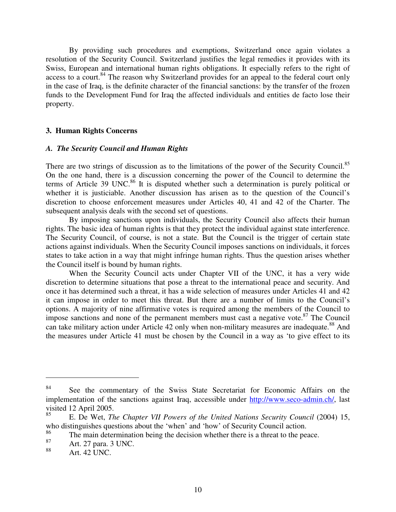By providing such procedures and exemptions, Switzerland once again violates a resolution of the Security Council. Switzerland justifies the legal remedies it provides with its Swiss, European and international human rights obligations. It especially refers to the right of access to a court.<sup>84</sup> The reason why Switzerland provides for an appeal to the federal court only in the case of Iraq, is the definite character of the financial sanctions: by the transfer of the frozen funds to the Development Fund for Iraq the affected individuals and entities de facto lose their property.

#### **3. Human Rights Concerns**

#### *A. The Security Council and Human Rights*

There are two strings of discussion as to the limitations of the power of the Security Council.<sup>85</sup> On the one hand, there is a discussion concerning the power of the Council to determine the terms of Article 39 UNC.<sup>86</sup> It is disputed whether such a determination is purely political or whether it is justiciable. Another discussion has arisen as to the question of the Council's discretion to choose enforcement measures under Articles 40, 41 and 42 of the Charter. The subsequent analysis deals with the second set of questions.

By imposing sanctions upon individuals, the Security Council also affects their human rights. The basic idea of human rights is that they protect the individual against state interference. The Security Council, of course, is not a state. But the Council is the trigger of certain state actions against individuals. When the Security Council imposes sanctions on individuals, it forces states to take action in a way that might infringe human rights. Thus the question arises whether the Council itself is bound by human rights.

When the Security Council acts under Chapter VII of the UNC, it has a very wide discretion to determine situations that pose a threat to the international peace and security. And once it has determined such a threat, it has a wide selection of measures under Articles 41 and 42 it can impose in order to meet this threat. But there are a number of limits to the Council's options. A majority of nine affirmative votes is required among the members of the Council to impose sanctions and none of the permanent members must cast a negative vote.<sup>87</sup> The Council can take military action under Article 42 only when non-military measures are inadequate.<sup>88</sup> And the measures under Article 41 must be chosen by the Council in a way as 'to give effect to its

<sup>84</sup> See the commentary of the Swiss State Secretariat for Economic Affairs on the implementation of the sanctions against Iraq, accessible under http://www.seco-admin.ch/, last visited 12 April 2005.

<sup>85</sup> E. De Wet, *The Chapter VII Powers of the United Nations Security Council* (2004) 15, who distinguishes questions about the 'when' and 'how' of Security Council action.

<sup>86</sup> The main determination being the decision whether there is a threat to the peace.

 $87$  Art. 27 para. 3 UNC.

Art. 42 UNC.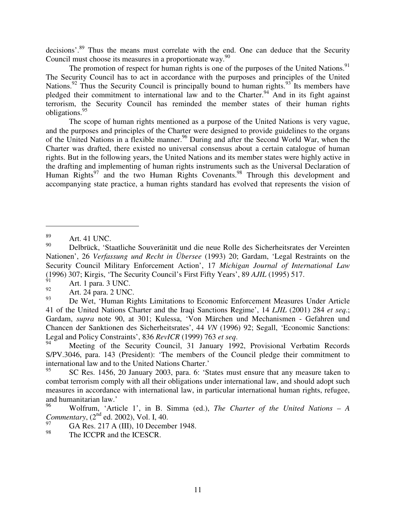decisions'.<sup>89</sup> Thus the means must correlate with the end. One can deduce that the Security Council must choose its measures in a proportionate way.<sup>90</sup>

The promotion of respect for human rights is one of the purposes of the United Nations.<sup>91</sup> The Security Council has to act in accordance with the purposes and principles of the United Nations.<sup>92</sup> Thus the Security Council is principally bound to human rights.<sup>93</sup> Its members have pledged their commitment to international law and to the Charter.<sup>94</sup> And in its fight against terrorism, the Security Council has reminded the member states of their human rights obligations. 95

The scope of human rights mentioned as a purpose of the United Nations is very vague, and the purposes and principles of the Charter were designed to provide guidelines to the organs of the United Nations in a flexible manner. <sup>96</sup> During and after the Second World War, when the Charter was drafted, there existed no universal consensus about a certain catalogue of human rights. But in the following years, the United Nations and its member states were highly active in the drafting and implementing of human rights instruments such as the Universal Declaration of Human Rights<sup>97</sup> and the two Human Rights Covenants.<sup>98</sup> Through this development and accompanying state practice, a human rights standard has evolved that represents the vision of

 $\frac{89}{90}$  Art. 41 UNC.

<sup>90</sup> Delbrück, 'Staatliche Souveränität und die neue Rolle des Sicherheitsrates der Vereinten Nationen', 26 *Verfassung und Recht in Übersee* (1993) 20; Gardam, 'Legal Restraints on the Security Council Military Enforcement Action', 17 *Michigan Journal of International Law* (1996) 307; Kirgis, 'The Security Council's First Fifty Years', 89 *AJIL* (1995) 517.

 $^{91}_{92}$  Art. 1 para. 3 UNC.

 $^{92}$  Art. 24 para. 2 UNC.

<sup>93</sup> De Wet, 'Human Rights Limitations to Economic Enforcement Measures Under Article 41 of the United Nations Charter and the Iraqi Sanctions Regime', 14 *LJIL* (2001) 284 *et seq*.; Gardam, *supra* note 90, at 301; Kulessa, 'Von Märchen und Mechanismen - Gefahren und Chancen der Sanktionen des Sicherheitsrates', 44 *VN* (1996) 92; Segall, 'Economic Sanctions: Legal and Policy Constraints', 836 *RevICR* (1999) 763 *et seq*.

Meeting of the Security Council, 31 January 1992, Provisional Verbatim Records S/PV.3046, para. 143 (President): 'The members of the Council pledge their commitment to international law and to the United Nations Charter.'

<sup>95</sup> SC Res. 1456, 20 January 2003, para. 6: 'States must ensure that any measure taken to combat terrorism comply with all their obligations under international law, and should adopt such measures in accordance with international law, in particular international human rights, refugee, and humanitarian law.'

<sup>96</sup> Wolfrum, 'Article 1', in B. Simma (ed.), *The Charter of the United Nations – A* Commentary, (2<sup>nd</sup> ed. 2002), Vol. I, 40.

GA Res. 217 A (III), 10 December 1948.

<sup>98</sup> The ICCPR and the ICESCR.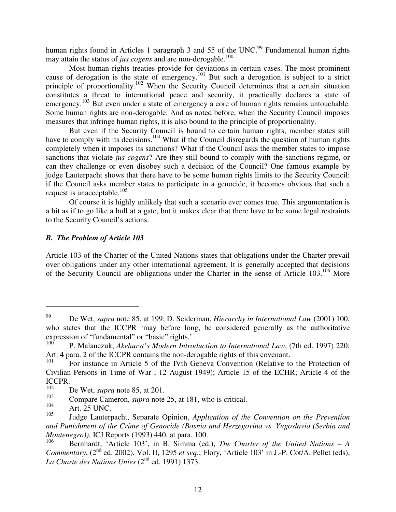human rights found in Articles 1 paragraph 3 and 55 of the UNC.<sup>99</sup> Fundamental human rights may attain the status of *jus cogens* and are non-derogable. 100

Most human rights treaties provide for deviations in certain cases. The most prominent cause of derogation is the state of emergency.<sup>101</sup> But such a derogation is subject to a strict principle of proportionality.<sup>102</sup> When the Security Council determines that a certain situation constitutes a threat to international peace and security, it practically declares a state of emergency.<sup>103</sup> But even under a state of emergency a core of human rights remains untouchable. Some human rights are non-derogable. And as noted before, when the Security Council imposes measures that infringe human rights, it is also bound to the principle of proportionality.

But even if the Security Council is bound to certain human rights, member states still have to comply with its decisions.<sup>104</sup> What if the Council disregards the question of human rights completely when it imposes its sanctions? What if the Council asks the member states to impose sanctions that violate *jus cogens*? Are they still bound to comply with the sanctions regime, or can they challenge or even disobey such a decision of the Council? One famous example by judge Lauterpacht shows that there have to be some human rights limits to the Security Council: if the Council asks member states to participate in a genocide, it becomes obvious that such a request is unacceptable. 105

Of course it is highly unlikely that such a scenario ever comes true. This argumentation is a bit as if to go like a bull at a gate, but it makes clear that there have to be some legal restraints to the Security Council's actions.

## *B. The Problem of Article 103*

Article 103 of the Charter of the United Nations states that obligations under the Charter prevail over obligations under any other international agreement. It is generally accepted that decisions of the Security Council are obligations under the Charter in the sense of Article 103.<sup>106</sup> More

<sup>99</sup> De Wet, *supra* note 85, at 199; D. Seiderman, *Hierarchy in International Law* (2001) 100, who states that the ICCPR 'may before long, be considered generally as the authoritative expression of "fundamental" or "basic" rights.'

 $100^{\bullet}$ P. Malanczuk, *Akehurst's Modern Introduction to International Law*, (7th ed. 1997) 220; Art. 4 para. 2 of the ICCPR contains the non-derogable rights of this covenant.

<sup>101</sup> For instance in Article 5 of the IVth Geneva Convention (Relative to the Protection of Civilian Persons in Time of War , 12 August 1949); Article 15 of the ECHR; Article 4 of the  $ICCPR.$ 

 $102$  De Wet, *supra* note 85, at 201.

<sup>&</sup>lt;sup>103</sup> Compare Cameron, *supra* note 25, at 181, who is critical.

Art. 25 UNC.

<sup>105</sup> Judge Lauterpacht, Separate Opinion, *Application of the Convention on the Prevention and Punishment of the Crime of Genocide (Bosnia and Herzegovina vs. Yugoslavia (Serbia and Montenegro))*, ICJ Reports (1993) 440, at para. 100.

<sup>106</sup> Bernhardt, 'Article 103', in B. Simma (ed.), *The Charter of the United Nations – A* Commentary, (2<sup>nd</sup> ed. 2002), Vol. II, 1295 *et seq.*; Flory, 'Article 103' in J.-P. Cot/A. Pellet (eds), *La Charte des Nations Unies* (2 nd ed. 1991) 1373.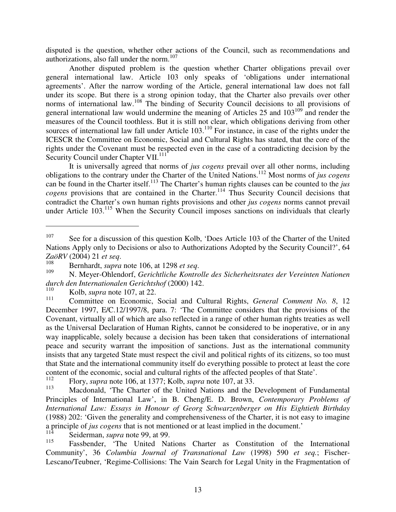disputed is the question, whether other actions of the Council, such as recommendations and authorizations, also fall under the norm. 107

Another disputed problem is the question whether Charter obligations prevail over general international law. Article 103 only speaks of 'obligations under international agreements'. After the narrow wording of the Article, general international law does not fall under its scope. But there is a strong opinion today, that the Charter also prevails over other norms of international law.<sup>108</sup> The binding of Security Council decisions to all provisions of general international law would undermine the meaning of Articles 25 and  $103^{109}$  and render the measures of the Council toothless. But it is still not clear, which obligations deriving from other sources of international law fall under Article 103.<sup>110</sup> For instance, in case of the rights under the ICESCR the Committee on Economic, Social and Cultural Rights has stated, that the core of the rights under the Covenant must be respected even in the case of a contradicting decision by the Security Council under Chapter VII.<sup>111</sup>

It is universally agreed that norms of *jus cogens* prevail over all other norms, including obligations to the contrary under the Charter of the United Nations. <sup>112</sup> Most norms of *jus cogens* can be found in the Charter itself. 113 The Charter's human rights clauses can be counted to the *jus cogens* provisions that are contained in the Charter. 114 Thus Security Council decisions that contradict the Charter's own human rights provisions and other *jus cogens* norms cannot prevail under Article 103.<sup>115</sup> When the Security Council imposes sanctions on individuals that clearly

114 Seiderman, *supra* note 99, at 99.

<sup>107</sup> See for a discussion of this question Kolb, 'Does Article 103 of the Charter of the United Nations Apply only to Decisions or also to Authorizations Adopted by the Security Council?', 64 *ZaöRV* (2004) 21 *et seq*.

<sup>&</sup>lt;sup>108</sup> Bernhardt, *supra* note 106, at 1298 *et seq.*<br><sup>109</sup> M. Masse Oklandarf, G. i. 1411 L. K.

<sup>109</sup> N. Meyer-Ohlendorf, *Gerichtliche Kontrolle des Sicherheitsrates der Vereinten Nationen durch den Internationalen Gerichtshof* (2000) 142.

 $110$  Kolb, *supra* note 107, at 22.

<sup>111</sup> Committee on Economic, Social and Cultural Rights, *General Comment No. 8*, 12 December 1997, E/C.12/1997/8, para. 7: 'The Committee considers that the provisions of the Covenant, virtually all of which are also reflected in a range of other human rights treaties as well as the Universal Declaration of Human Rights, cannot be considered to be inoperative, or in any way inapplicable, solely because a decision has been taken that considerations of international peace and security warrant the imposition of sanctions. Just as the international community insists that any targeted State must respect the civil and political rights of its citizens, so too must that State and the international community itself do everything possible to protect at least the core content of the economic, social and cultural rights of the affected peoples of that State'.

<sup>112</sup> Flory, *supra* note 106, at 1377; Kolb, *supra* note 107, at 33.

<sup>113</sup> Macdonald, 'The Charter of the United Nations and the Development of Fundamental Principles of International Law', in B. Cheng/E. D. Brown, *Contemporary Problems of International Law: Essays in Honour of Georg Schwarzenberger on His Eightieth Birthday* (1988) 202: 'Given the generality and comprehensiveness of the Charter, it is not easy to imagine a principle of *jus cogens* that is not mentioned or at least implied in the document.'

<sup>115</sup> Fassbender, 'The United Nations Charter as Constitution of the International Community', 36 *Columbia Journal of Transnational Law* (1998) 590 *et seq.*; Fischer-Lescano/Teubner, 'Regime-Collisions: The Vain Search for Legal Unity in the Fragmentation of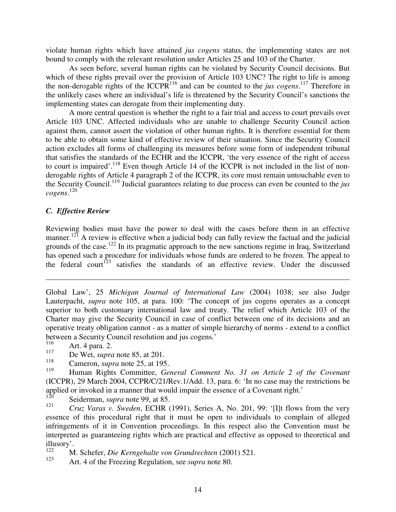violate human rights which have attained *jus cogens* status, the implementing states are not bound to comply with the relevant resolution under Articles 25 and 103 of the Charter.

As seen before, several human rights can be violated by Security Council decisions. But which of these rights prevail over the provision of Article 103 UNC? The right to life is among the non-derogable rights of the ICCPR<sup>116</sup> and can be counted to the *jus cogens*.<sup>117</sup> Therefore in the unlikely cases where an individual's life is threatened by the Security Council's sanctions the implementing states can derogate from their implementing duty.

A more central question is whether the right to a fair trial and access to court prevails over Article 103 UNC. Affected individuals who are unable to challenge Security Council action against them, cannot assert the violation of other human rights. It is therefore essential for them to be able to obtain some kind of effective review of their situation. Since the Security Council action excludes all forms of challenging its measures before some form of independent tribunal that satisfies the standards of the ECHR and the ICCPR, 'the very essence of the right of access to court is impaired'.<sup>118</sup> Even though Article 14 of the ICCPR is not included in the list of nonderogable rights of Article 4 paragraph 2 of the ICCPR, its core must remain untouchable even to the Security Council. 119 Judicial guarantees relating to due process can even be counted to the *jus cogens*. 120

### *C. Effective Review*

Reviewing bodies must have the power to deal with the cases before them in an effective manner.<sup>121</sup> A review is effective when a judicial body can fully review the factual and the judicial grounds of the case.<sup>122</sup> In its pragmatic approach to the new sanctions regime in Iraq, Switzerland has opened such a procedure for individuals whose funds are ordered to be frozen. The appeal to the federal court<sup>123</sup> satisfies the standards of an effective review. Under the discussed

Global Law', 25 *Michigan Journal of International Law* (2004) 1038; see also Judge Lauterpacht, *supra* note 105, at para. 100: 'The concept of jus cogens operates as a concept superior to both customary international law and treaty. The relief which Article 103 of the Charter may give the Security Council in case of conflict between one of its decisions and an operative treaty obligation cannot - as a matter of simple hierarchy of norms - extend to a conflict between a Security Council resolution and jus cogens.'<br> $\frac{116}{116}$  Art A pers. 2

 $116$  Art. 4 para. 2.

<sup>117</sup> De Wet, *supra* note 85, at 201.

<sup>118</sup> Cameron, *supra* note 25, at 195.

<sup>119</sup> Human Rights Committee, *General Comment No. 31 on Article 2 of the Covenant* (ICCPR), 29 March 2004, CCPR/C/21/Rev.1/Add. 13, para. 6: 'In no case may the restrictions be applied or invoked in a manner that would impair the essence of a Covenant right.'<br> $\frac{120}{120}$  Soiderman, sung note 00, at 85

Seiderman, *supra* note 99, at 85.

<sup>121</sup> *Cruz Varas v. Sweden*, ECHR (1991), Series A, No. 201, 99: '[I]t flows from the very essence of this procedural right that it must be open to individuals to complain of alleged infringements of it in Convention proceedings. In this respect also the Convention must be interpreted as guaranteeing rights which are practical and effective as opposed to theoretical and illusory'.

<sup>122</sup> M. Schefer, *Die Kerngehalte von Grundrechten* (2001) 521.

Art. 4 of the Freezing Regulation, see *supra* note 80.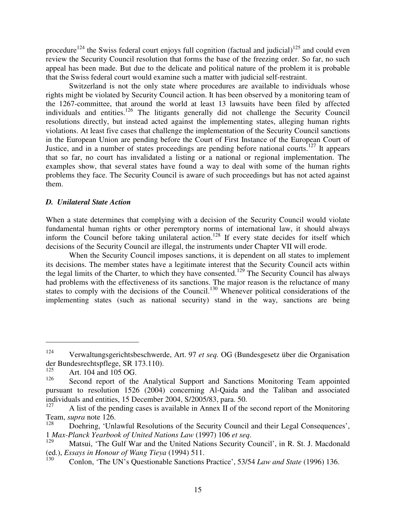procedure<sup>124</sup> the Swiss federal court enjoys full cognition (factual and judicial)<sup>125</sup> and could even review the Security Council resolution that forms the base of the freezing order. So far, no such appeal has been made. But due to the delicate and political nature of the problem it is probable that the Swiss federal court would examine such a matter with judicial self-restraint.

Switzerland is not the only state where procedures are available to individuals whose rights might be violated by Security Council action. It has been observed by a monitoring team of the 1267-committee, that around the world at least 13 lawsuits have been filed by affected individuals and entities.<sup>126</sup> The litigants generally did not challenge the Security Council resolutions directly, but instead acted against the implementing states, alleging human rights violations. At least five cases that challenge the implementation of the Security Council sanctions in the European Union are pending before the Court of First Instance of the European Court of Justice, and in a number of states proceedings are pending before national courts.<sup>127</sup> It appears that so far, no court has invalidated a listing or a national or regional implementation. The examples show, that several states have found a way to deal with some of the human rights problems they face. The Security Council is aware of such proceedings but has not acted against them.

### *D. Unilateral State Action*

When a state determines that complying with a decision of the Security Council would violate fundamental human rights or other peremptory norms of international law, it should always inform the Council before taking unilateral action.<sup>128</sup> If every state decides for itself which decisions of the Security Council are illegal, the instruments under Chapter VII will erode.

When the Security Council imposes sanctions, it is dependent on all states to implement its decisions. The member states have a legitimate interest that the Security Council acts within the legal limits of the Charter, to which they have consented.<sup>129</sup> The Security Council has always had problems with the effectiveness of its sanctions. The major reason is the reluctance of many states to comply with the decisions of the Council.<sup>130</sup> Whenever political considerations of the implementing states (such as national security) stand in the way, sanctions are being

<sup>124</sup> Verwaltungsgerichtsbeschwerde, Art. 97 *et seq.* OG (Bundesgesetz über die Organisation der Bundesrechtspflege, SR 173.110).<br> $\frac{125}{125}$  Art 104 and 105 OG

Art. 104 and 105 OG.

<sup>126</sup> Second report of the Analytical Support and Sanctions Monitoring Team appointed pursuant to resolution 1526 (2004) concerning Al-Qaida and the Taliban and associated individuals and entities, 15 December 2004, S/2005/83, para. 50.<br> $\frac{127}{127}$  A list of the pending cases is available in Annex II of the

A list of the pending cases is available in Annex II of the second report of the Monitoring Team, *supra* note 126.

Doehring, 'Unlawful Resolutions of the Security Council and their Legal Consequences', 1 *Max-Planck Yearbook of United Nations Law* (1997) 106 *et seq*.

Matsui, 'The Gulf War and the United Nations Security Council', in R. St. J. Macdonald (ed.), *Essays in Honour of Wang Tieya* (1994) 511.

<sup>130</sup> Conlon, 'The UN's Questionable Sanctions Practice', 53/54 *Law and State* (1996) 136.